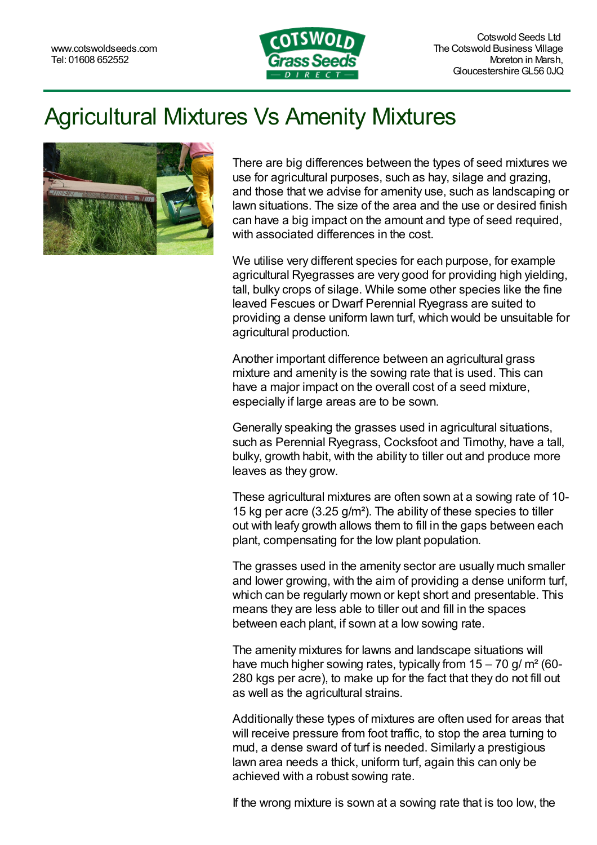

## Agricultural Mixtures Vs Amenity Mixtures



There are big differences between the types of seed mixtures we use for agricultural purposes, such as hay, silage and grazing, and those that we advise for amenity use, such as landscaping or lawn situations. The size of the area and the use or desired finish can have a big impact on the amount and type of seed required, with associated differences in the cost.

We utilise very different species for each purpose, for example agricultural Ryegrasses are very good for providing high yielding, tall, bulky crops of silage. While some other species like the fine leaved Fescues or Dwarf Perennial Ryegrass are suited to providing a dense uniform lawn turf, which would be unsuitable for agricultural production.

Another important difference between an agricultural grass mixture and amenity is the sowing rate that is used. This can have a major impact on the overall cost of a seed mixture, especially if large areas are to be sown.

Generally speaking the grasses used in agricultural situations, such as Perennial Ryegrass, Cocksfoot and Timothy, have a tall, bulky, growth habit, with the ability to tiller out and produce more leaves as they grow.

These agricultural mixtures are often sown at a sowing rate of 10- 15 kg per acre (3.25 g/m²). The ability of these species to tiller out with leafy growth allows them to fill in the gaps between each plant, compensating for the low plant population.

The grasses used in the amenity sector are usually much smaller and lower growing, with the aim of providing a dense uniform turf, which can be regularly mown or kept short and presentable. This means they are less able to tiller out and fill in the spaces between each plant, if sown at a low sowing rate.

The amenity mixtures for lawns and landscape situations will have much higher sowing rates, typically from  $15 - 70$  g/m<sup>2</sup> (60-280 kgs per acre), to make up for the fact that they do not fill out as well as the agricultural strains.

Additionally these types of mixtures are often used for areas that will receive pressure from foot traffic, to stop the area turning to mud, a dense sward of turf is needed. Similarly a prestigious lawn area needs a thick, uniform turf, again this can only be achieved with a robust sowing rate.

If the wrong mixture is sown at a sowing rate that is too low, the